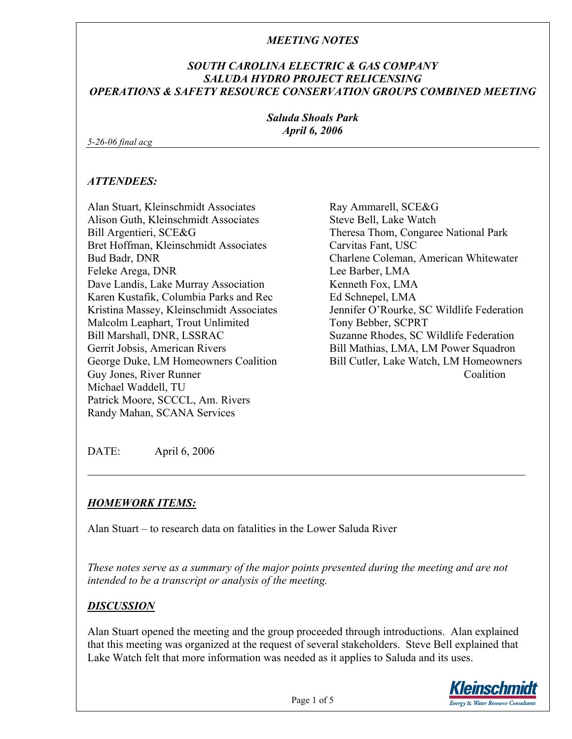### *SOUTH CAROLINA ELECTRIC & GAS COMPANY SALUDA HYDRO PROJECT RELICENSING OPERATIONS & SAFETY RESOURCE CONSERVATION GROUPS COMBINED MEETING*

*Saluda Shoals Park April 6, 2006* 

*5-26-06 final acg* 

#### *ATTENDEES:*

Alan Stuart, Kleinschmidt Associates Alison Guth, Kleinschmidt Associates Bill Argentieri, SCE&G Bret Hoffman, Kleinschmidt Associates Bud Badr, DNR Feleke Arega, DNR Dave Landis, Lake Murray Association Karen Kustafik, Columbia Parks and Rec Kristina Massey, Kleinschmidt Associates Malcolm Leaphart, Trout Unlimited Bill Marshall, DNR, LSSRAC Gerrit Jobsis, American Rivers George Duke, LM Homeowners Coalition Guy Jones, River Runner Michael Waddell, TU Patrick Moore, SCCCL, Am. Rivers Randy Mahan, SCANA Services

Ray Ammarell, SCE&G Steve Bell, Lake Watch Theresa Thom, Congaree National Park Carvitas Fant, USC Charlene Coleman, American Whitewater Lee Barber, LMA Kenneth Fox, LMA Ed Schnepel, LMA Jennifer O'Rourke, SC Wildlife Federation Tony Bebber, SCPRT Suzanne Rhodes, SC Wildlife Federation Bill Mathias, LMA, LM Power Squadron Bill Cutler, Lake Watch, LM Homeowners Coalition

DATE: April 6, 2006

# *HOMEWORK ITEMS:*

Alan Stuart – to research data on fatalities in the Lower Saluda River

*These notes serve as a summary of the major points presented during the meeting and are not intended to be a transcript or analysis of the meeting.* 

# *DISCUSSION*

Alan Stuart opened the meeting and the group proceeded through introductions. Alan explained that this meeting was organized at the request of several stakeholders. Steve Bell explained that Lake Watch felt that more information was needed as it applies to Saluda and its uses.

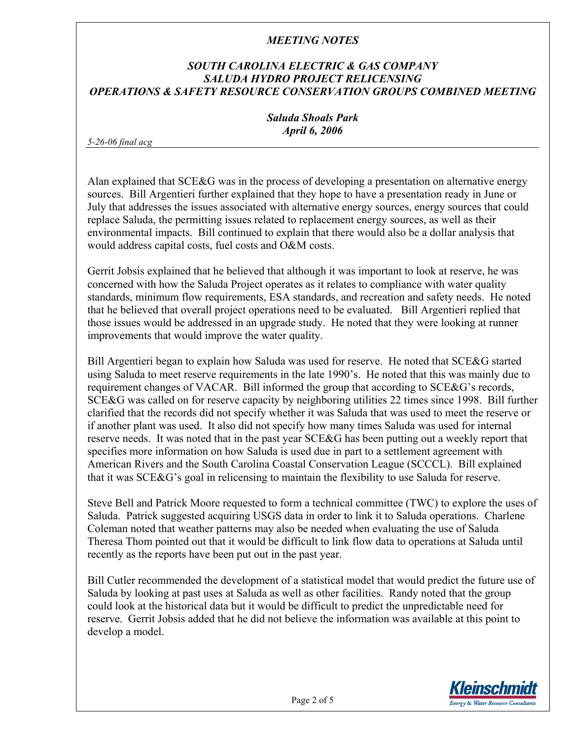# *SOUTH CAROLINA ELECTRIC & GAS COMPANY SALUDA HYDRO PROJECT RELICENSING OPERATIONS & SAFETY RESOURCE CONSERVATION GROUPS COMBINED MEETING*

*Saluda Shoals Park April 6, 2006* 

*5-26-06 final acg* 

Alan explained that SCE&G was in the process of developing a presentation on alternative energy sources. Bill Argentieri further explained that they hope to have a presentation ready in June or July that addresses the issues associated with alternative energy sources, energy sources that could replace Saluda, the permitting issues related to replacement energy sources, as well as their environmental impacts. Bill continued to explain that there would also be a dollar analysis that would address capital costs, fuel costs and O&M costs.

Gerrit Jobsis explained that he believed that although it was important to look at reserve, he was concerned with how the Saluda Project operates as it relates to compliance with water quality standards, minimum flow requirements, ESA standards, and recreation and safety needs. He noted that he believed that overall project operations need to be evaluated. Bill Argentieri replied that those issues would be addressed in an upgrade study. He noted that they were looking at runner improvements that would improve the water quality.

Bill Argentieri began to explain how Saluda was used for reserve. He noted that SCE&G started using Saluda to meet reserve requirements in the late 1990's. He noted that this was mainly due to requirement changes of VACAR. Bill informed the group that according to SCE&G's records, SCE&G was called on for reserve capacity by neighboring utilities 22 times since 1998. Bill further clarified that the records did not specify whether it was Saluda that was used to meet the reserve or if another plant was used. It also did not specify how many times Saluda was used for internal reserve needs. It was noted that in the past year SCE&G has been putting out a weekly report that specifies more information on how Saluda is used due in part to a settlement agreement with American Rivers and the South Carolina Coastal Conservation League (SCCCL). Bill explained that it was SCE&G's goal in relicensing to maintain the flexibility to use Saluda for reserve.

Steve Bell and Patrick Moore requested to form a technical committee (TWC) to explore the uses of Saluda. Patrick suggested acquiring USGS data in order to link it to Saluda operations. Charlene Coleman noted that weather patterns may also be needed when evaluating the use of Saluda Theresa Thom pointed out that it would be difficult to link flow data to operations at Saluda until recently as the reports have been put out in the past year.

Bill Cutler recommended the development of a statistical model that would predict the future use of Saluda by looking at past uses at Saluda as well as other facilities. Randy noted that the group could look at the historical data but it would be difficult to predict the unpredictable need for reserve. Gerrit Jobsis added that he did not believe the information was available at this point to develop a model.

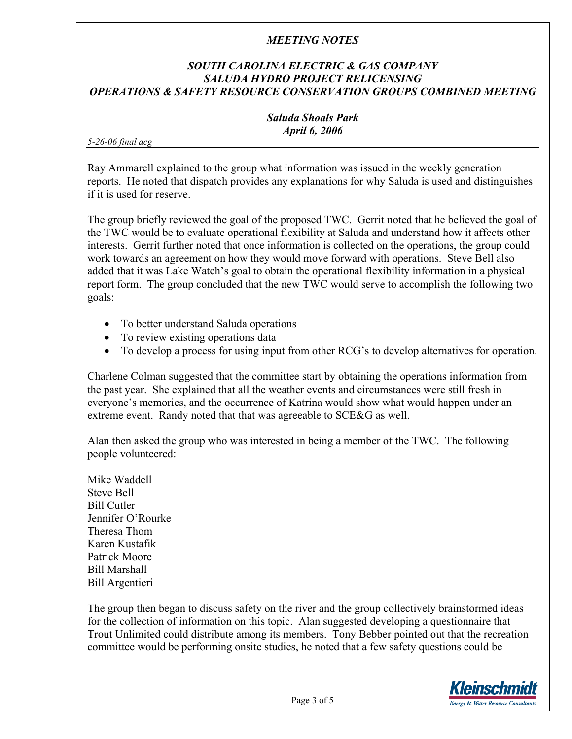# *SOUTH CAROLINA ELECTRIC & GAS COMPANY SALUDA HYDRO PROJECT RELICENSING OPERATIONS & SAFETY RESOURCE CONSERVATION GROUPS COMBINED MEETING*

#### *Saluda Shoals Park April 6, 2006*

*5-26-06 final acg* 

Ray Ammarell explained to the group what information was issued in the weekly generation reports. He noted that dispatch provides any explanations for why Saluda is used and distinguishes if it is used for reserve.

The group briefly reviewed the goal of the proposed TWC. Gerrit noted that he believed the goal of the TWC would be to evaluate operational flexibility at Saluda and understand how it affects other interests. Gerrit further noted that once information is collected on the operations, the group could work towards an agreement on how they would move forward with operations. Steve Bell also added that it was Lake Watch's goal to obtain the operational flexibility information in a physical report form. The group concluded that the new TWC would serve to accomplish the following two goals:

- To better understand Saluda operations
- To review existing operations data
- To develop a process for using input from other RCG's to develop alternatives for operation.

Charlene Colman suggested that the committee start by obtaining the operations information from the past year. She explained that all the weather events and circumstances were still fresh in everyone's memories, and the occurrence of Katrina would show what would happen under an extreme event. Randy noted that that was agreeable to SCE&G as well.

Alan then asked the group who was interested in being a member of the TWC. The following people volunteered:

Mike Waddell Steve Bell Bill Cutler Jennifer O'Rourke Theresa Thom Karen Kustafik Patrick Moore Bill Marshall Bill Argentieri

The group then began to discuss safety on the river and the group collectively brainstormed ideas for the collection of information on this topic. Alan suggested developing a questionnaire that Trout Unlimited could distribute among its members. Tony Bebber pointed out that the recreation committee would be performing onsite studies, he noted that a few safety questions could be

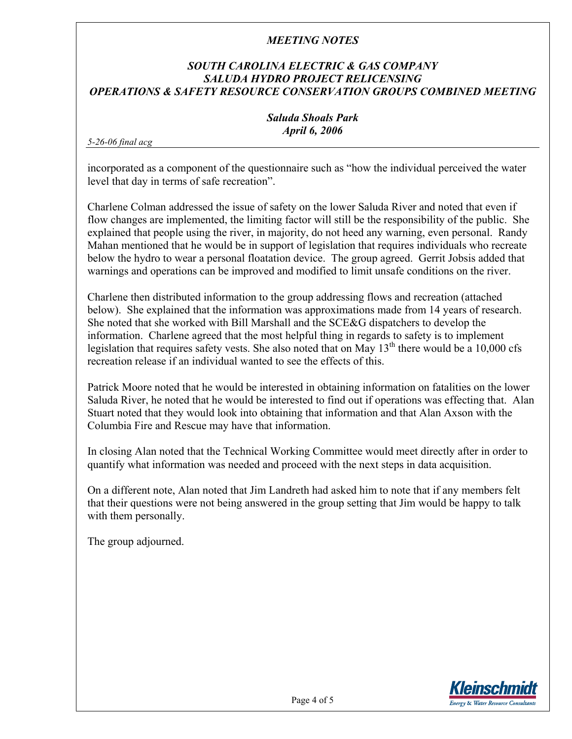### *SOUTH CAROLINA ELECTRIC & GAS COMPANY SALUDA HYDRO PROJECT RELICENSING OPERATIONS & SAFETY RESOURCE CONSERVATION GROUPS COMBINED MEETING*

#### *Saluda Shoals Park April 6, 2006*

*5-26-06 final acg* 

incorporated as a component of the questionnaire such as "how the individual perceived the water level that day in terms of safe recreation".

Charlene Colman addressed the issue of safety on the lower Saluda River and noted that even if flow changes are implemented, the limiting factor will still be the responsibility of the public. She explained that people using the river, in majority, do not heed any warning, even personal. Randy Mahan mentioned that he would be in support of legislation that requires individuals who recreate below the hydro to wear a personal floatation device. The group agreed. Gerrit Jobsis added that warnings and operations can be improved and modified to limit unsafe conditions on the river.

Charlene then distributed information to the group addressing flows and recreation (attached below). She explained that the information was approximations made from 14 years of research. She noted that she worked with Bill Marshall and the SCE&G dispatchers to develop the information. Charlene agreed that the most helpful thing in regards to safety is to implement legislation that requires safety vests. She also noted that on May  $13<sup>th</sup>$  there would be a 10,000 cfs recreation release if an individual wanted to see the effects of this.

Patrick Moore noted that he would be interested in obtaining information on fatalities on the lower Saluda River, he noted that he would be interested to find out if operations was effecting that. Alan Stuart noted that they would look into obtaining that information and that Alan Axson with the Columbia Fire and Rescue may have that information.

In closing Alan noted that the Technical Working Committee would meet directly after in order to quantify what information was needed and proceed with the next steps in data acquisition.

On a different note, Alan noted that Jim Landreth had asked him to note that if any members felt that their questions were not being answered in the group setting that Jim would be happy to talk with them personally.

The group adjourned.